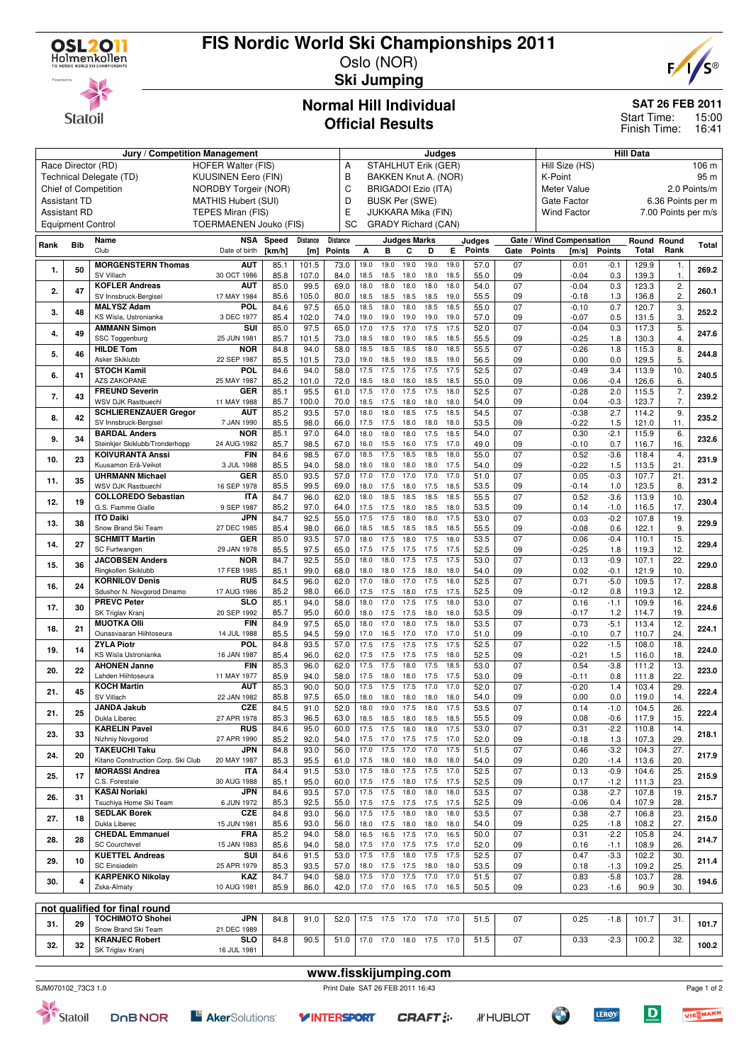

**Statoil** 

# **FIS Nordic World Ski Championships 2011**

Oslo (NOR) **Ski Jumping**



**SAT 26 FEB 2011**

15:00 16:41 Finish Time: Start Time:

#### **Normal Hill Individual Official Results**

|      |                     | Judges                                                   |                            |              |               |              |              |                            |                     | <b>Hill Data</b> |              |               |                 |               |                          |                  |                |                     |              |
|------|---------------------|----------------------------------------------------------|----------------------------|--------------|---------------|--------------|--------------|----------------------------|---------------------|------------------|--------------|---------------|-----------------|---------------|--------------------------|------------------|----------------|---------------------|--------------|
|      |                     | Race Director (RD)                                       | <b>HOFER Walter (FIS)</b>  |              |               | Α            |              | <b>STAHLHUT Erik (GER)</b> |                     |                  |              |               |                 |               | Hill Size (HS)           |                  |                |                     | 106 m        |
|      |                     | Technical Delegate (TD)                                  | KUUSINEN Eero (FIN)        |              |               | B            |              | BAKKEN Knut A. (NOR)       |                     |                  |              |               |                 | K-Point       |                          |                  |                |                     | 95 m         |
|      |                     | Chief of Competition<br>NORDBY Torgeir (NOR)             |                            |              |               |              |              | <b>BRIGADOI Ezio (ITA)</b> |                     |                  |              |               |                 |               | Meter Value              |                  |                |                     | 2.0 Points/m |
|      | <b>Assistant TD</b> |                                                          | <b>MATHIS Hubert (SUI)</b> |              |               | D            |              | <b>BUSK Per (SWE)</b>      |                     |                  |              |               |                 |               | Gate Factor              |                  |                | 6.36 Points per m   |              |
|      | <b>Assistant RD</b> |                                                          | TEPES Miran (FIS)          |              |               | Е            |              | JUKKARA Mika (FIN)         |                     |                  |              |               |                 |               | <b>Wind Factor</b>       |                  |                | 7.00 Points per m/s |              |
|      |                     | <b>Equipment Control</b>                                 | TOERMAENEN Jouko (FIS)     |              |               | SC           |              | <b>GRADY Richard (CAN)</b> |                     |                  |              |               |                 |               |                          |                  |                |                     |              |
|      |                     | Name                                                     | NSA                        | Speed        | Distance      | Distance     |              |                            | <b>Judges Marks</b> |                  |              | Judges        |                 |               | Gate / Wind Compensation |                  | Round Round    |                     |              |
| Rank | <b>Bib</b>          | Club                                                     | Date of birth              | [km/h]       | [m]           | Points       | А            | B                          | C                   | D                | E.           | <b>Points</b> | Gate            | <b>Points</b> | [m/s]                    | Points           | Total          | Rank                | <b>Total</b> |
|      |                     | <b>MORGENSTERN Thomas</b>                                | <b>AUT</b>                 | 85.1         | 101.5         | 73.0         | 19.0         | 19.0                       | 19.0                | 19.0             | 19.0         | 57.0          | 07              |               | 0.01                     | $-0.1$           | 129.9          | 1.                  |              |
| 1.   | 50                  | SV Villach                                               | 30 OCT 1986                | 85.8         | 107.0         | 84.0         | 18.5         | 18.5                       | 18.0                | 18.0             | 18.5         | 55.0          | 09              |               | $-0.04$                  | 0.3              | 139.3          | 1.                  | 269.2        |
| 2.   | 47                  | <b>KOFLER Andreas</b>                                    | <b>AUT</b>                 | 85.0         | 99.5          | 69.0         | 18.0         | 18.0                       | 18.0                | 18.0             | 18.0         | 54.0          | 07              |               | $-0.04$                  | 0.3              | 123.3          | $\overline{2}$ .    | 260.1        |
|      |                     | SV Innsbruck-Bergisel                                    | 17 MAY 1984                | 85.6         | 105.0         | 80.0         | 18.5         | 18.5                       | 18.5                | 18.5             | 19.0         | 55.5          | 09              |               | $-0.18$                  | 1.3              | 136.8          | 2.                  |              |
| 3.   | 48                  | <b>MALYSZ Adam</b>                                       | POL                        | 84.6         | 97.5          | 65.0         | 18.5         | 18.0                       | 18.0                | 18.5             | 18.5         | 55.0          | 07              |               | $-0.10$                  | 0.7              | 120.7          | 3.                  | 252.2        |
|      |                     | KS Wisla, Ustronianka<br><b>AMMANN Simon</b>             | 3 DEC 1977<br>SUI          | 85.4<br>85.0 | 102.0<br>97.5 | 74.0<br>65.0 | 19.0<br>17.0 | 19.0<br>17.5               | 19.0<br>17.0        | 19.0<br>17.5     | 19.0<br>17.5 | 57.0<br>52.0  | 09<br>07        |               | $-0.07$<br>$-0.04$       | 0.5<br>0.3       | 131.5<br>117.3 | 3.<br>5.            |              |
| 4.   | 49                  | SSC Toggenburg                                           | 25 JUN 1981                | 85.7         | 101.5         | 73.0         | 18.5         | 18.0                       | 19.0                | 18.5             | 18.5         | 55.5          | 09              |               | $-0.25$                  | 1.8              | 130.3          | 4.                  | 247.6        |
|      |                     | <b>HILDE Tom</b>                                         | <b>NOR</b>                 | 84.8         | 94.0          | 58.0         | 18.5         | 18.5                       | 18.5                | 18.0             | 18.5         | 55.5          | 07              |               | $-0.26$                  | 1.8              | 115.3          | 8.                  |              |
| 5.   | 46                  | Asker Skiklubb                                           | 22 SEP 1987                | 85.5         | 101.5         | 73.0         | 19.0         | 18.5                       | 19.0                | 18.5             | 19.0         | 56.5          | 09              |               | 0.00                     | 0.0              | 129.5          | 5.                  | 244.8        |
| 6.   | 41                  | <b>STOCH Kamil</b>                                       | POL.                       | 84.6         | 94.0          | 58.0         | 17.5         | 17.5                       | 17.5                | 17.5             | 17.5         | 52.5          | 07              |               | $-0.49$                  | 3.4              | 113.9          | 10.                 | 240.5        |
|      |                     | <b>AZS ZAKOPANE</b>                                      | 25 MAY 1987                | 85.2         | 101.0         | 72.0         | 18.5         | 18.0                       | 18.0                | 18.5             | 18.5         | 55.0          | 09              |               | 0.06                     | $-0.4$           | 126.6          | 6.                  |              |
| 7.   | 43                  | <b>FREUND Severin</b><br><b>WSV DJK Rastbuechl</b>       | GER                        | 85.1         | 95.5          | 61.0<br>70.0 | 17.5<br>18.5 | 17.0                       | 17.5                | 17.5<br>18.0     | 18.0<br>18.0 | 52.5          | 07              |               | $-0.28$                  | 2.0              | 115.5          | 7.<br>7.            | 239.2        |
|      |                     | <b>SCHLIERENZAUER Gregor</b>                             | 11 MAY 1988<br><b>AUT</b>  | 85.7<br>85.2 | 100.0<br>93.5 | 57.0         | 18.0         | 17.5<br>18.0               | 18.0<br>18.5        | 17.5             | 18.5         | 54.0<br>54.5  | 09<br>07        |               | 0.04<br>$-0.38$          | $-0.3$<br>2.7    | 123.7<br>114.2 | 9.                  |              |
| 8.   | 42                  | SV Innsbruck-Bergisel                                    | 7 JAN 1990                 | 85.5         | 98.0          | 66.0         | 17.5         | 17.5                       | 18.0                | 18.0             | 18.0         | 53.5          | 09              |               | $-0.22$                  | 1.5              | 121.0          | 11.                 | 235.2        |
|      |                     | <b>BARDAL Anders</b>                                     | <b>NOR</b>                 | 85.1         | 97.0          | 64.0         | 18.0         | 18.0                       | 18.0                | 17.5             | 18.5         | 54.0          | $\overline{07}$ |               | 0.30                     | $-2.1$           | 115.9          | 6.                  |              |
| 9.   | 34                  | Steinkjer Skiklubb/Tronderhopp                           | 24 AUG 1982                | 85.7         | 98.5          | 67.0         | 16.0         | 15.5                       | 16.0                | 17.5             | 17.0         | 49.0          | 09              |               | $-0.10$                  | 0.7              | 116.7          | 16.                 | 232.6        |
| 10.  | 23                  | <b>KOIVURANTA Anssi</b>                                  | <b>FIN</b>                 | 84.6         | 98.5          | 67.0         | 18.5         | 17.5                       | 18.5                | 18.5             | 18.0         | 55.0          | 07              |               | 0.52                     | $-3.6$           | 118.4          | 4.                  | 231.9        |
|      |                     | Kuusamon Erä-Veikot                                      | 3 JUL 1988                 | 85.5         | 94.0          | 58.0         | 18.0         | 18.0                       | 18.0                | 18.0             | 17.5         | 54.0          | 09              |               | $-0.22$                  | 1.5              | 113.5          | 21.                 |              |
| 11.  | 35                  | <b>UHRMANN Michael</b>                                   | <b>GER</b>                 | 85.0         | 93.5          | 57.0         | 17.0         | 17.0                       | 17.0                | 17.0             | 17.0         | 51.0          | 07              |               | 0.05                     | $-0.3$           | 107.7          | 21.                 | 231.2        |
|      |                     | <b>WSV DJK Rastbuechl</b><br><b>COLLOREDO Sebastian</b>  | 16 SEP 1978<br>ITA         | 85.5<br>84.7 | 99.5<br>96.0  | 69.0<br>62.0 | 18.0<br>18.0 | 17.5<br>18.5               | 18.0<br>18.5        | 17.5<br>18.5     | 18.5<br>18.5 | 53.5<br>55.5  | 09<br>07        |               | $-0.14$<br>0.52          | 1.0<br>$-3.6$    | 123.5<br>113.9 | 8.<br>10.           |              |
| 12.  | 19                  | G.S. Fiamme Gialle                                       | 9 SEP 1987                 | 85.2         | 97.0          | 64.0         | 17.5         | 17.5                       | 18.0                | 18.5             | 18.0         | 53.5          | 09              |               | 0.14                     | $-1.0$           | 116.5          | 17.                 | 230.4        |
|      |                     | <b>ITO Daiki</b>                                         | <b>JPN</b>                 | 84.7         | 92.5          | 55.0         | 17.5         | 17.5                       | 18.0                | 18.0             | 17.5         | 53.0          | 07              |               | 0.03                     | $-0.2$           | 107.8          | 19.                 |              |
| 13.  | 38                  | Snow Brand Ski Team                                      | 27 DEC 1985                | 85.4         | 98.0          | 66.0         | 18.5         | 18.5 18.5                  |                     | 18.5             | 18.5         | 55.5          | 09              |               | $-0.08$                  | 0.6              | 122.1          | 9.                  | 229.9        |
| 14.  | 27                  | <b>SCHMITT Martin</b>                                    | <b>GER</b>                 | 85.0         | 93.5          | 57.0         | 18.0         | 17.5                       | 18.0                | 17.5             | 18.0         | 53.5          | 07              |               | 0.06                     | $-0.4$           | 110.1          | 15.                 | 229.4        |
|      |                     | SC Furtwangen                                            | 29 JAN 1978                | 85.5         | 97.5          | 65.0         | 17.5         | 17.5                       | 17.5                | 17.5             | 17.5         | 52.5          | 09              |               | $-0.25$                  | 1.8              | 119.3          | 12.                 |              |
| 15.  | 36                  | <b>JACOBSEN Anders</b>                                   | <b>NOR</b>                 | 84.7         | 92.5          | 55.0         | 18.0         | 18.0                       | 17.5                | 17.5             | 17.5         | 53.0          | 07              |               | 0.13                     | $-0.9$           | 107.1          | 22.                 | 229.0        |
|      |                     | Ringkollen Skiklubb<br><b>KORNILOV Denis</b>             | 17 FEB 1985<br><b>RUS</b>  | 85.1<br>84.5 | 99.0<br>96.0  | 68.0<br>62.0 | 18.0<br>17.0 | 18.0<br>18.0               | 17.5<br>17.0        | 18.0<br>17.5     | 18.0<br>18.0 | 54.0<br>52.5  | 09<br>07        |               | 0.02<br>0.71             | $-0.1$<br>$-5.0$ | 121.9<br>109.5 | 10.<br>17.          |              |
| 16.  | 24                  | Sdushor N. Novgorod Dinamo                               | 17 AUG 1986                | 85.2         | 98.0          | 66.0         | 17.5         | 17.5                       | 18.0                | 17.5             | 17.5         | 52.5          | 09              |               | $-0.12$                  | 0.8              | 119.3          | 12.                 | 228.8        |
|      |                     | <b>PREVC Peter</b>                                       | SLO                        | 85.1         | 94.0          | 58.0         | 18.0         | 17.0                       | 17.5                | 17.5             | 18.0         | 53.0          | 07              |               | 0.16                     | $-1.1$           | 109.9          | 16.                 |              |
| 17.  | 30                  | SK Triglav Kranj                                         | 20 SEP 1992                | 85.7         | 95.0          | 60.0         | 18.0         | 17.5                       | 17.5                | 18.0             | 18.0         | 53.5          | 09              |               | $-0.17$                  | 1.2              | 114.7          | 19.                 | 224.6        |
| 18.  | 21                  | <b>MUOTKA OIII</b>                                       | <b>FIN</b>                 | 84.9         | 97.5          | 65.0         | 18.0         | 17.0                       | 18.0                | 17.5             | 18.0         | 53.5          | 07              |               | 0.73                     | $-5.1$           | 113.4          | 12.                 | 224.1        |
|      |                     | Ounasvaaran Hiihtoseura                                  | 14 JUL 1988                | 85.5         | 94.5          | 59.0         | 17.0         | 16.5                       | 17.0                | 17.0             | 17.0         | 51.0          | 09              |               | $-0.10$                  | 0.7              | 110.7          | 24.                 |              |
| 19.  | 14                  | <b>ZYLA Piotr</b><br>KS Wisla Ustronianka                | POL                        | 84.8         | 93.5          | 57.0         | 17.5         | 17.5                       | 17.5                | 17.5             | 17.5         | 52.5          | 07              |               | 0.22                     | $-1.5$           | 108.0          | 18.                 | 224.0        |
|      |                     | <b>AHONEN Janne</b>                                      | 16 JAN 1987<br><b>FIN</b>  | 85.4<br>85.3 | 96.0<br>96.0  | 62.0<br>62.0 | 17.5<br>17.5 | 17.5<br>17.5               | 17.5<br>18.0        | 17.5<br>17.5     | 18.0<br>18.5 | 52.5<br>53.0  | 09<br>07        |               | $-0.21$<br>0.54          | 1.5<br>$-3.8$    | 116.0<br>111.2 | 18.<br>13.          |              |
| 20.  | 22                  | Lahden Hiihtoseura                                       | 11 MAY 1977                | 85.9         | 94.0          | 58.0         | 17.5         | 18.0                       | 18.0                | 17.5             | 17.5         | 53.0          | 09              |               | $-0.11$                  | 0.8              | 111.8          | 22.                 | 223.0        |
|      |                     | <b>KOCH Martin</b>                                       | <b>AUT</b>                 | 85.3         | 90.0          | 50.0         | 17.5         | 17.5                       | 17.5                | 17.0             | 17.0         | 52.0          | 07              |               | $-0.20$                  | 1.4              | 103.4          | 29.                 |              |
| 21.  | 45                  | SV Villach                                               | 22 JAN 1982                | 85.8         | 97.5          | 65.0         | 18.0         | 18.0                       | 18.0                | 18.0             | 18.0         | 54.0          | 09              |               | 0.00                     | 0.0              | 119.0          | 14.                 | 222.4        |
| 21.  | 25                  | <b>JANDA Jakub</b>                                       | <b>CZE</b>                 | 84.5         | 91.0          | 52.0         | 18.0         | 19.0                       | 17.5                | 18.0             | 17.5         | 53.5          | $\overline{07}$ |               | 0.14                     | $-1.0$           | 104.5          | 26.                 | 222.4        |
|      |                     | Dukla Liberec                                            | 27 APR 1978                | 85.3         | 96.5          | 63.0         | 18.5         | 18.5 18.0                  |                     | 18.5             | 18.5         | 55.5          | 09              |               | 0.08                     | -0.6             | 117.9          | 15.                 |              |
| 23.  | 33                  | <b>KARELIN Pavel</b>                                     | <b>RUS</b>                 | 84.6         | 95.0          | 60.0         | 17.5         | 17.5 18.0                  |                     | 18.0             | 17.5         | 53.0          | 07              |               | 0.31                     | $-2.2$           | 110.8          | 14.                 | 218.1        |
|      |                     | Nizhniy Novgorod<br><b>TAKEUCHI Taku</b>                 | 27 APR 1990<br>JPN         | 85.2<br>84.8 | 92.0<br>93.0  | 54.0<br>56.0 | 17.5<br>17.0 | 17.0 17.5<br>17.5 17.0     |                     | 17.5<br>17.0     | 17.0<br>17.5 | 52.0<br>51.5  | 09<br>07        |               | $-0.18$<br>0.46          | 1.3<br>$-3.2$    | 107.3<br>104.3 | 29.<br>27.          |              |
| 24.  | 20                  | Kitano Construction Corp. Ski Club                       | 20 MAY 1987                | 85.3         | 95.5          | 61.0         | 17.5         | 18.0 18.0                  |                     | 18.0             | 18.0         | 54.0          | 09              |               | 0.20                     | $-1.4$           | 113.6          | 20.                 | 217.9        |
|      |                     | <b>MORASSI Andrea</b>                                    | <b>ITA</b>                 | 84.4         | 91.5          | 53.0         | 17.5         | $18.0$ 17.5                |                     | 17.5             | 17.0         | 52.5          | 07              |               | 0.13                     | $-0.9$           | 104.6          | 25.                 |              |
| 25.  | 17                  | C.S. Forestale                                           | 30 AUG 1988                | 85.1         | 95.0          | 60.0         | 17.5         | 17.5 18.0                  |                     | 17.5             | 17.5         | 52.5          | 09              |               | 0.17                     | $-1.2$           | 111.3          | 23.                 | 215.9        |
| 26.  | 31                  | <b>KASAI Noriaki</b>                                     | <b>JPN</b>                 | 84.6         | 93.5          | 57.0         | 17.5         | 17.5 18.0                  |                     | 18.0             | 18.0         | 53.5          | 07              |               | 0.38                     | $-2.7$           | 107.8          | 19.                 | 215.7        |
|      |                     | Tsuchiya Home Ski Team                                   | 6 JUN 1972                 | 85.3         | 92.5          | 55.0         | 17.5         | 17.5 17.5                  |                     | 17.5             | 17.5         | 52.5          | 09              |               | $-0.06$                  | 0.4              | 107.9          | 28.                 |              |
| 27.  | 18                  | <b>SEDLAK Borek</b><br>Dukla Liberec                     | CZE                        | 84.8         | 93.0          | 56.0         | 17.5         | 17.5 18.0                  |                     | 18.0             | 18.0         | 53.5          | 07              |               | 0.38                     | $-2.7$           | 106.8          | 23.                 | 215.0        |
|      |                     | <b>CHEDAL Emmanuel</b>                                   | 15 JUN 1981<br><b>FRA</b>  | 85.6<br>85.2 | 93.0<br>94.0  | 56.0<br>58.0 | 18.0<br>16.5 | 17.5 18.0<br>16.5 17.5     |                     | 18.0<br>17.0     | 18.0<br>16.5 | 54.0<br>50.0  | 09<br>07        |               | 0.25<br>0.31             | $-1.8$<br>$-2.2$ | 108.2<br>105.8 | 27.<br>24.          |              |
| 28.  | 28                  | <b>SC Courchevel</b>                                     | 15 JAN 1983                | 85.6         | 94.0          | 58.0         | 17.5         | 17.0 17.5 17.5             |                     |                  | 17.0         | 52.0          | 09              |               | 0.16                     | $-1.1$           | 108.9          | 26.                 | 214.7        |
|      |                     | <b>KUETTEL Andreas</b>                                   | SUI                        | 84.6         | 91.5          | 53.0         | 17.5         | 17.5 18.0                  |                     | 17.5             | 17.5         | 52.5          | 07              |               | 0.47                     | $-3.3$           | 102.2          | 30.                 |              |
| 29.  | 10                  | <b>SC Einsiedeln</b>                                     | 25 APR 1979                | 85.3         | 93.5          | 57.0         | 18.0         | 17.5 17.5                  |                     | 18.0             | 18.0         | 53.5          | 09              |               | 0.18                     | $-1.3$           | 109.2          | 25.                 | 211.4        |
| 30.  | 4                   | <b>KARPENKO Nikolay</b>                                  | KAZ                        | 84.7         | 94.0          | 58.0         | 17.5         | 17.0 17.5                  |                     | 17.0             | 17.0         | 51.5          | 07              |               | 0.83                     | $-5.8$           | 103.7          | 28.                 | 194.6        |
|      |                     | Zska-Almaty                                              | 10 AUG 1981                | 85.9         | 86.0          | 42.0         | 17.0         | 17.0 16.5                  |                     | 17.0             | 16.5         | 50.5          | 09              |               | 0.23                     | -1.6             | 90.9           | 30.                 |              |
|      |                     |                                                          |                            |              |               |              |              |                            |                     |                  |              |               |                 |               |                          |                  |                |                     |              |
|      |                     | not qualified for final round<br><b>TOCHIMOTO Shohei</b> | <b>JPN</b>                 | 84.8         | 91.0          | 52.0         | 17.5         | 17.5 17.0                  |                     | 17.0             | 17.0         | 51.5          | 07              |               | 0.25                     | $-1.8$           | 101.7          | 31.                 |              |
| 31.  | 29                  | Snow Brand Ski Team                                      | 21 DEC 1989                |              |               |              |              |                            |                     |                  |              |               |                 |               |                          |                  |                |                     | 101.7        |
|      |                     | <b>KRANJEC Robert</b>                                    | <b>SLO</b>                 | 84.8         | 90.5          | 51.0         |              | 17.0 17.0 18.0             |                     | 17.5             | 17.0         | 51.5          | 07              |               | 0.33                     | $-2.3$           | 100.2          | 32.                 |              |
| 32.  | 32                  | SK Triglav Kranj                                         | 16 JUL 1981                |              |               |              |              |                            |                     |                  |              |               |                 |               |                          |                  |                |                     | 100.2        |



Statoil

**Y INTERSPORT** 

**www.fisskijumping.com**

*IFHUBLOT* 

**OF** 

**LERØY** 

Page 1 of 2 VIESMANN

 $\boxed{\mathbf{D}}$